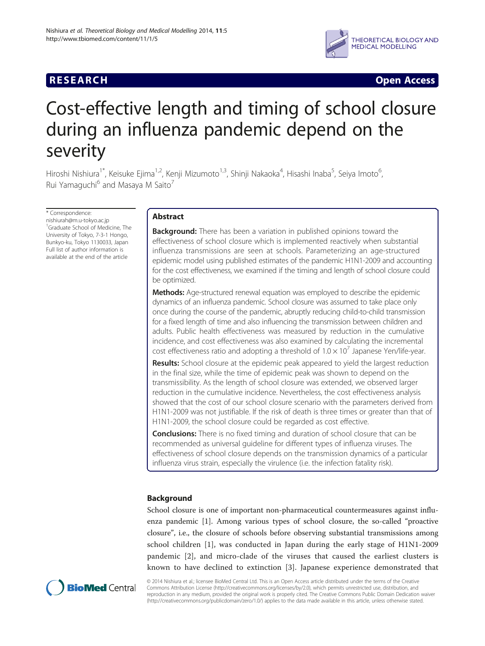# **RESEARCH CHINESE ARCH CHINESE ARCH CHINESE ARCH <b>CHINESE ARCH**



# Cost-effective length and timing of school closure during an influenza pandemic depend on the severity

Hiroshi Nishiura<sup>1\*</sup>, Keisuke Ejima<sup>1,2</sup>, Kenji Mizumoto<sup>1,3</sup>, Shinji Nakaoka<sup>4</sup>, Hisashi Inaba<sup>5</sup>, Seiya Imoto<sup>6</sup> י<br>, Rui Yamaguchi<sup>6</sup> and Masaya M Saito<sup>7</sup>

\* Correspondence: nishiurah@m.u-tokyo.ac.jp 1 Graduate School of Medicine, The University of Tokyo, 7-3-1 Hongo, Bunkyo-ku, Tokyo 1130033, Japan Full list of author information is available at the end of the article

# Abstract

**Background:** There has been a variation in published opinions toward the effectiveness of school closure which is implemented reactively when substantial influenza transmissions are seen at schools. Parameterizing an age-structured epidemic model using published estimates of the pandemic H1N1-2009 and accounting for the cost effectiveness, we examined if the timing and length of school closure could be optimized.

**Methods:** Age-structured renewal equation was employed to describe the epidemic dynamics of an influenza pandemic. School closure was assumed to take place only once during the course of the pandemic, abruptly reducing child-to-child transmission for a fixed length of time and also influencing the transmission between children and adults. Public health effectiveness was measured by reduction in the cumulative incidence, and cost effectiveness was also examined by calculating the incremental cost effectiveness ratio and adopting a threshold of  $1.0 \times 10^{7}$  Japanese Yen/life-year.

**Results:** School closure at the epidemic peak appeared to yield the largest reduction in the final size, while the time of epidemic peak was shown to depend on the transmissibility. As the length of school closure was extended, we observed larger reduction in the cumulative incidence. Nevertheless, the cost effectiveness analysis showed that the cost of our school closure scenario with the parameters derived from H1N1-2009 was not justifiable. If the risk of death is three times or greater than that of H1N1-2009, the school closure could be regarded as cost effective.

**Conclusions:** There is no fixed timing and duration of school closure that can be recommended as universal guideline for different types of influenza viruses. The effectiveness of school closure depends on the transmission dynamics of a particular influenza virus strain, especially the virulence (i.e. the infection fatality risk).

# Background

School closure is one of important non-pharmaceutical countermeasures against influenza pandemic [\[1](#page-12-0)]. Among various types of school closure, the so-called "proactive closure", i.e., the closure of schools before observing substantial transmissions among school children [\[1](#page-12-0)], was conducted in Japan during the early stage of H1N1-2009 pandemic [[2](#page-12-0)], and micro-clade of the viruses that caused the earliest clusters is known to have declined to extinction [[3\]](#page-12-0). Japanese experience demonstrated that



© 2014 Nishiura et al.; licensee BioMed Central Ltd. This is an Open Access article distributed under the terms of the Creative Commons Attribution License [\(http://creativecommons.org/licenses/by/2.0\)](http://creativecommons.org/licenses/by/2.0), which permits unrestricted use, distribution, and reproduction in any medium, provided the original work is properly cited. The Creative Commons Public Domain Dedication waiver [\(http://creativecommons.org/publicdomain/zero/1.0/](http://creativecommons.org/publicdomain/zero/1.0/)) applies to the data made available in this article, unless otherwise stated.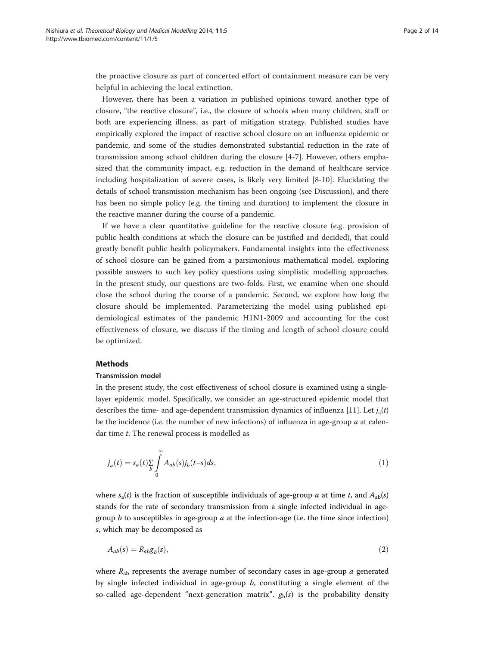<span id="page-1-0"></span>the proactive closure as part of concerted effort of containment measure can be very helpful in achieving the local extinction.

However, there has been a variation in published opinions toward another type of closure, "the reactive closure", i.e., the closure of schools when many children, staff or both are experiencing illness, as part of mitigation strategy. Published studies have empirically explored the impact of reactive school closure on an influenza epidemic or pandemic, and some of the studies demonstrated substantial reduction in the rate of transmission among school children during the closure [[4-7](#page-12-0)]. However, others emphasized that the community impact, e.g. reduction in the demand of healthcare service including hospitalization of severe cases, is likely very limited [[8-10](#page-12-0)]. Elucidating the details of school transmission mechanism has been ongoing (see [Discussion](#page-8-0)), and there has been no simple policy (e.g. the timing and duration) to implement the closure in the reactive manner during the course of a pandemic.

If we have a clear quantitative guideline for the reactive closure (e.g. provision of public health conditions at which the closure can be justified and decided), that could greatly benefit public health policymakers. Fundamental insights into the effectiveness of school closure can be gained from a parsimonious mathematical model, exploring possible answers to such key policy questions using simplistic modelling approaches. In the present study, our questions are two-folds. First, we examine when one should close the school during the course of a pandemic. Second, we explore how long the closure should be implemented. Parameterizing the model using published epidemiological estimates of the pandemic H1N1-2009 and accounting for the cost effectiveness of closure, we discuss if the timing and length of school closure could be optimized.

# **Methods**

# Transmission model

In the present study, the cost effectiveness of school closure is examined using a singlelayer epidemic model. Specifically, we consider an age-structured epidemic model that describes the time- and age-dependent transmission dynamics of influenza [\[11](#page-12-0)]. Let  $j_a(t)$ be the incidence (i.e. the number of new infections) of influenza in age-group  $a$  at calendar time t. The renewal process is modelled as

$$
j_a(t) = s_a(t) \sum_{b} \int_{0}^{\infty} A_{ab}(s) j_b(t-s) ds,
$$
\n(1)

where  $s_a(t)$  is the fraction of susceptible individuals of age-group a at time t, and  $A_{ab}(s)$ stands for the rate of secondary transmission from a single infected individual in agegroup  $b$  to susceptibles in age-group  $a$  at the infection-age (i.e. the time since infection) s, which may be decomposed as

$$
A_{ab}(s) = R_{ab}g_b(s),\tag{2}
$$

where  $R_{ab}$  represents the average number of secondary cases in age-group a generated by single infected individual in age-group  $b$ , constituting a single element of the so-called age-dependent "next-generation matrix".  $g_b(s)$  is the probability density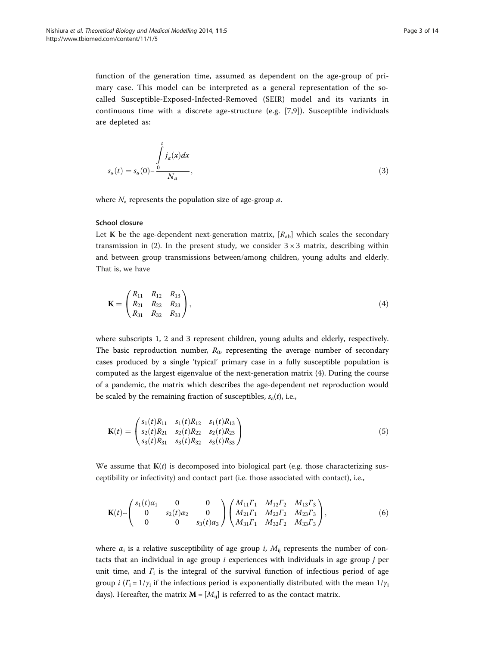<span id="page-2-0"></span>function of the generation time, assumed as dependent on the age-group of primary case. This model can be interpreted as a general representation of the socalled Susceptible-Exposed-Infected-Removed (SEIR) model and its variants in continuous time with a discrete age-structure (e.g. [[7,9](#page-12-0)]). Susceptible individuals are depleted as:

$$
s_a(t) = s_a(0) - \frac{\int\limits_0^t i_a(x)dx}{N_a},
$$
\n
$$
(3)
$$

where  $N_a$  represents the population size of age-group a.

#### School closure

Let K be the age-dependent next-generation matrix,  $[R_{ab}]$  which scales the secondary transmission in ([2\)](#page-1-0). In the present study, we consider  $3 \times 3$  matrix, describing within and between group transmissions between/among children, young adults and elderly. That is, we have

$$
\mathbf{K} = \begin{pmatrix} R_{11} & R_{12} & R_{13} \\ R_{21} & R_{22} & R_{23} \\ R_{31} & R_{32} & R_{33} \end{pmatrix},\tag{4}
$$

where subscripts 1, 2 and 3 represent children, young adults and elderly, respectively. The basic reproduction number,  $R_0$ , representing the average number of secondary cases produced by a single 'typical' primary case in a fully susceptible population is computed as the largest eigenvalue of the next-generation matrix (4). During the course of a pandemic, the matrix which describes the age-dependent net reproduction would be scaled by the remaining fraction of susceptibles,  $s_a(t)$ , i.e.,

$$
\mathbf{K}(t) = \begin{pmatrix} s_1(t)R_{11} & s_1(t)R_{12} & s_1(t)R_{13} \\ s_2(t)R_{21} & s_2(t)R_{22} & s_2(t)R_{23} \\ s_3(t)R_{31} & s_3(t)R_{32} & s_3(t)R_{33} \end{pmatrix}
$$
(5)

We assume that  $K(t)$  is decomposed into biological part (e.g. those characterizing susceptibility or infectivity) and contact part (i.e. those associated with contact), i.e.,

$$
\mathbf{K}(t) \sim \begin{pmatrix} s_1(t)\alpha_1 & 0 & 0 \ 0 & s_2(t)\alpha_2 & 0 \ 0 & 0 & s_3(t)\alpha_3 \end{pmatrix} \begin{pmatrix} M_{11}r_1 & M_{12}r_2 & M_{13}r_3 \ M_{21}r_1 & M_{22}r_2 & M_{23}r_3 \ M_{31}r_1 & M_{32}r_2 & M_{33}r_3 \end{pmatrix},
$$
(6)

where  $\alpha_i$  is a relative susceptibility of age group *i*,  $M_{ii}$  represents the number of contacts that an individual in age group  $i$  experiences with individuals in age group  $j$  per unit time, and  $\Gamma_i$  is the integral of the survival function of infectious period of age group *i*  $(\Gamma_i = 1/\gamma_i$  if the infectious period is exponentially distributed with the mean  $1/\gamma_i$ days). Hereafter, the matrix  $M = [M_{ij}]$  is referred to as the contact matrix.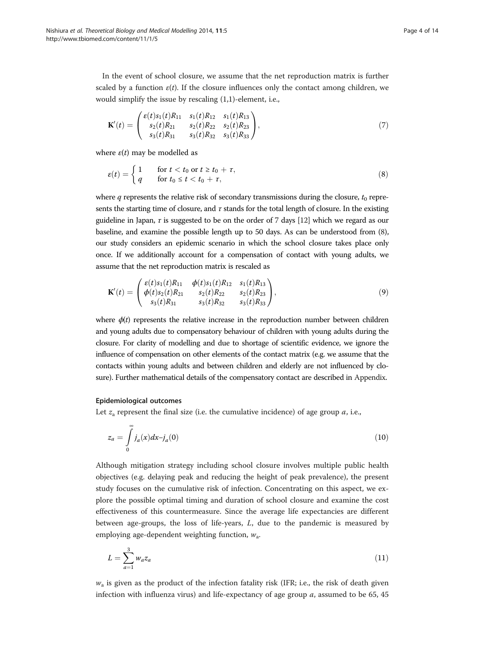In the event of school closure, we assume that the net reproduction matrix is further scaled by a function  $\varepsilon(t)$ . If the closure influences only the contact among children, we would simplify the issue by rescaling (1,1)-element, i.e.,

$$
\mathbf{K}'(t) = \begin{pmatrix} \varepsilon(t)s_1(t)R_{11} & s_1(t)R_{12} & s_1(t)R_{13} \\ s_2(t)R_{21} & s_2(t)R_{22} & s_2(t)R_{23} \\ s_3(t)R_{31} & s_3(t)R_{32} & s_3(t)R_{33} \end{pmatrix},\tag{7}
$$

where  $\varepsilon(t)$  may be modelled as

$$
\varepsilon(t) = \begin{cases} 1 & \text{for } t < t_0 \text{ or } t \ge t_0 + \tau, \\ q & \text{for } t_0 \le t < t_0 + \tau, \end{cases} \tag{8}
$$

where q represents the relative risk of secondary transmissions during the closure,  $t_0$  represents the starting time of closure, and  $\tau$  stands for the total length of closure. In the existing guideline in Japan,  $\tau$  is suggested to be on the order of 7 days [[12](#page-12-0)] which we regard as our baseline, and examine the possible length up to 50 days. As can be understood from (8), our study considers an epidemic scenario in which the school closure takes place only once. If we additionally account for a compensation of contact with young adults, we assume that the net reproduction matrix is rescaled as

$$
\mathbf{K}'(t) = \begin{pmatrix} \varepsilon(t)s_1(t)R_{11} & \phi(t)s_1(t)R_{12} & s_1(t)R_{13} \\ \phi(t)s_2(t)R_{21} & s_2(t)R_{22} & s_2(t)R_{23} \\ s_3(t)R_{31} & s_3(t)R_{32} & s_3(t)R_{33} \end{pmatrix},
$$
\n(9)

where  $\phi(t)$  represents the relative increase in the reproduction number between children and young adults due to compensatory behaviour of children with young adults during the closure. For clarity of modelling and due to shortage of scientific evidence, we ignore the influence of compensation on other elements of the contact matrix (e.g. we assume that the contacts within young adults and between children and elderly are not influenced by closure). Further mathematical details of the compensatory contact are described in [Appendix.](#page-10-0)

#### Epidemiological outcomes

Let  $z_a$  represent the final size (i.e. the cumulative incidence) of age group  $a$ , i.e.,

$$
z_a = \int\limits_0^\infty j_a(x)dx - j_a(0) \tag{10}
$$

Although mitigation strategy including school closure involves multiple public health objectives (e.g. delaying peak and reducing the height of peak prevalence), the present study focuses on the cumulative risk of infection. Concentrating on this aspect, we explore the possible optimal timing and duration of school closure and examine the cost effectiveness of this countermeasure. Since the average life expectancies are different between age-groups, the loss of life-years, L, due to the pandemic is measured by employing age-dependent weighting function,  $w_a$ .

$$
L = \sum_{a=1}^{3} w_a z_a \tag{11}
$$

 $w_a$  is given as the product of the infection fatality risk (IFR; i.e., the risk of death given infection with influenza virus) and life-expectancy of age group  $a$ , assumed to be 65, 45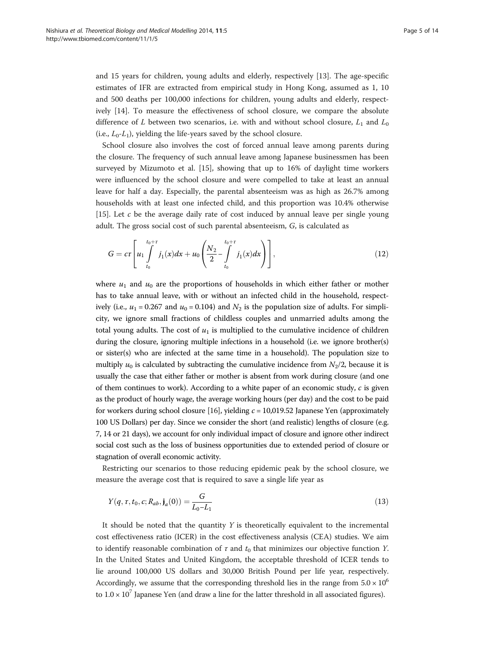<span id="page-4-0"></span>and 15 years for children, young adults and elderly, respectively [[13](#page-12-0)]. The age-specific estimates of IFR are extracted from empirical study in Hong Kong, assumed as 1, 10 and 500 deaths per 100,000 infections for children, young adults and elderly, respectively [[14\]](#page-12-0). To measure the effectiveness of school closure, we compare the absolute difference of L between two scenarios, i.e. with and without school closure,  $L_1$  and  $L_0$ (i.e.,  $L_0$ - $L_1$ ), yielding the life-years saved by the school closure.

School closure also involves the cost of forced annual leave among parents during the closure. The frequency of such annual leave among Japanese businessmen has been surveyed by Mizumoto et al. [\[15](#page-12-0)], showing that up to 16% of daylight time workers were influenced by the school closure and were compelled to take at least an annual leave for half a day. Especially, the parental absenteeism was as high as 26.7% among households with at least one infected child, and this proportion was 10.4% otherwise [[15\]](#page-12-0). Let  $c$  be the average daily rate of cost induced by annual leave per single young adult. The gross social cost of such parental absenteeism, G, is calculated as

$$
G = cr \left[ u_1 \int_{t_0}^{t_0 + r} j_1(x) dx + u_0 \left( \frac{N_2}{2} - \int_{t_0}^{t_0 + r} j_1(x) dx \right) \right],
$$
 (12)

where  $u_1$  and  $u_0$  are the proportions of households in which either father or mother has to take annual leave, with or without an infected child in the household, respectively (i.e.,  $u_1 = 0.267$  and  $u_0 = 0.104$ ) and  $N_2$  is the population size of adults. For simplicity, we ignore small fractions of childless couples and unmarried adults among the total young adults. The cost of  $u_1$  is multiplied to the cumulative incidence of children during the closure, ignoring multiple infections in a household (i.e. we ignore brother(s) or sister(s) who are infected at the same time in a household). The population size to multiply  $u_0$  is calculated by subtracting the cumulative incidence from  $N_2/2$ , because it is usually the case that either father or mother is absent from work during closure (and one of them continues to work). According to a white paper of an economic study,  $c$  is given as the product of hourly wage, the average working hours (per day) and the cost to be paid for workers during school closure [[16\]](#page-12-0), yielding  $c = 10,019.52$  Japanese Yen (approximately 100 US Dollars) per day. Since we consider the short (and realistic) lengths of closure (e.g. 7, 14 or 21 days), we account for only individual impact of closure and ignore other indirect social cost such as the loss of business opportunities due to extended period of closure or stagnation of overall economic activity.

Restricting our scenarios to those reducing epidemic peak by the school closure, we measure the average cost that is required to save a single life year as

$$
Y(q, \tau, t_0, c; R_{ab}, \mathbf{j}_a(0)) = \frac{G}{L_0 - L_1}
$$
\n(13)

It should be noted that the quantity  $Y$  is theoretically equivalent to the incremental cost effectiveness ratio (ICER) in the cost effectiveness analysis (CEA) studies. We aim to identify reasonable combination of  $\tau$  and  $t_0$  that minimizes our objective function Y. In the United States and United Kingdom, the acceptable threshold of ICER tends to lie around 100,000 US dollars and 30,000 British Pound per life year, respectively. Accordingly, we assume that the corresponding threshold lies in the range from  $5.0 \times 10^6$ to  $1.0 \times 10^7$  Japanese Yen (and draw a line for the latter threshold in all associated figures).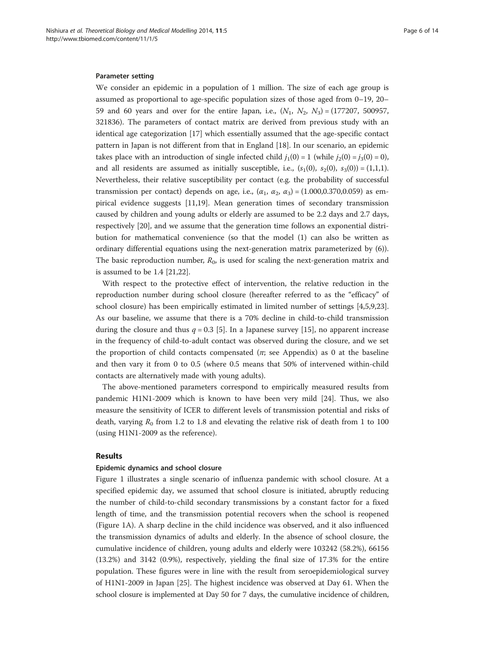# Parameter setting

We consider an epidemic in a population of 1 million. The size of each age group is assumed as proportional to age-specific population sizes of those aged from 0–19, 20– 59 and 60 years and over for the entire Japan, i.e.,  $(N_1, N_2, N_3) = (177207, 500957,$ 321836). The parameters of contact matrix are derived from previous study with an identical age categorization [[17\]](#page-13-0) which essentially assumed that the age-specific contact pattern in Japan is not different from that in England [\[18\]](#page-13-0). In our scenario, an epidemic takes place with an introduction of single infected child  $j_1(0) = 1$  (while  $j_2(0) = j_3(0) = 0$ ), and all residents are assumed as initially susceptible, i.e.,  $(s_1(0), s_2(0), s_3(0)) = (1,1,1).$ Nevertheless, their relative susceptibility per contact (e.g. the probability of successful transmission per contact) depends on age, i.e.,  $(\alpha_1, \alpha_2, \alpha_3) = (1.000, 0.370, 0.059)$  as empirical evidence suggests [[11](#page-12-0),[19](#page-13-0)]. Mean generation times of secondary transmission caused by children and young adults or elderly are assumed to be 2.2 days and 2.7 days, respectively [\[20](#page-13-0)], and we assume that the generation time follows an exponential distribution for mathematical convenience (so that the model ([1\)](#page-1-0) can also be written as ordinary differential equations using the next-generation matrix parameterized by [\(6](#page-2-0))). The basic reproduction number,  $R_0$ , is used for scaling the next-generation matrix and is assumed to be 1.4 [[21,22\]](#page-13-0).

With respect to the protective effect of intervention, the relative reduction in the reproduction number during school closure (hereafter referred to as the "efficacy" of school closure) has been empirically estimated in limited number of settings [\[4,5,9](#page-12-0),[23](#page-13-0)]. As our baseline, we assume that there is a 70% decline in child-to-child transmission during the closure and thus  $q = 0.3$  [[5\]](#page-12-0). In a Japanese survey [\[15\]](#page-12-0), no apparent increase in the frequency of child-to-adult contact was observed during the closure, and we set the proportion of child contacts compensated  $(\pi$ ; see [Appendix](#page-10-0)) as 0 at the baseline and then vary it from 0 to 0.5 (where 0.5 means that 50% of intervened within-child contacts are alternatively made with young adults).

The above-mentioned parameters correspond to empirically measured results from pandemic H1N1-2009 which is known to have been very mild [[24](#page-13-0)]. Thus, we also measure the sensitivity of ICER to different levels of transmission potential and risks of death, varying  $R_0$  from 1.2 to 1.8 and elevating the relative risk of death from 1 to 100 (using H1N1-2009 as the reference).

#### Results

# Epidemic dynamics and school closure

Figure [1](#page-6-0) illustrates a single scenario of influenza pandemic with school closure. At a specified epidemic day, we assumed that school closure is initiated, abruptly reducing the number of child-to-child secondary transmissions by a constant factor for a fixed length of time, and the transmission potential recovers when the school is reopened (Figure [1A](#page-6-0)). A sharp decline in the child incidence was observed, and it also influenced the transmission dynamics of adults and elderly. In the absence of school closure, the cumulative incidence of children, young adults and elderly were 103242 (58.2%), 66156 (13.2%) and 3142 (0.9%), respectively, yielding the final size of 17.3% for the entire population. These figures were in line with the result from seroepidemiological survey of H1N1-2009 in Japan [\[25](#page-13-0)]. The highest incidence was observed at Day 61. When the school closure is implemented at Day 50 for 7 days, the cumulative incidence of children,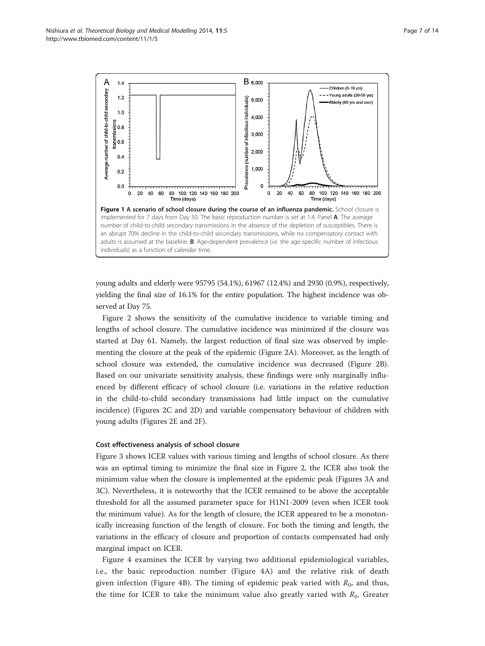<span id="page-6-0"></span>

young adults and elderly were 95795 (54.1%), 61967 (12.4%) and 2930 (0.9%), respectively, yielding the final size of 16.1% for the entire population. The highest incidence was observed at Day 75.

Figure [2](#page-7-0) shows the sensitivity of the cumulative incidence to variable timing and lengths of school closure. The cumulative incidence was minimized if the closure was started at Day 61. Namely, the largest reduction of final size was observed by implementing the closure at the peak of the epidemic (Figure [2](#page-7-0)A). Moreover, as the length of school closure was extended, the cumulative incidence was decreased (Figure [2](#page-7-0)B). Based on our univariate sensitivity analysis, these findings were only marginally influenced by different efficacy of school closure (i.e. variations in the relative reduction in the child-to-child secondary transmissions had little impact on the cumulative incidence) (Figures [2](#page-7-0)C and [2](#page-7-0)D) and variable compensatory behaviour of children with young adults (Figures [2E](#page-7-0) and [2F](#page-7-0)).

#### Cost effectiveness analysis of school closure

Figure [3](#page-8-0) shows ICER values with various timing and lengths of school closure. As there was an optimal timing to minimize the final size in Figure [2](#page-7-0), the ICER also took the minimum value when the closure is implemented at the epidemic peak (Figures [3A](#page-8-0) and [3C](#page-8-0)). Nevertheless, it is noteworthy that the ICER remained to be above the acceptable threshold for all the assumed parameter space for H1N1-2009 (even when ICER took the minimum value). As for the length of closure, the ICER appeared to be a monotonically increasing function of the length of closure. For both the timing and length, the variations in the efficacy of closure and proportion of contacts compensated had only marginal impact on ICER.

Figure [4](#page-9-0) examines the ICER by varying two additional epidemiological variables, i.e., the basic reproduction number (Figure [4](#page-9-0)A) and the relative risk of death given infection (Figure [4](#page-9-0)B). The timing of epidemic peak varied with  $R_0$ , and thus, the time for ICER to take the minimum value also greatly varied with  $R_0$ . Greater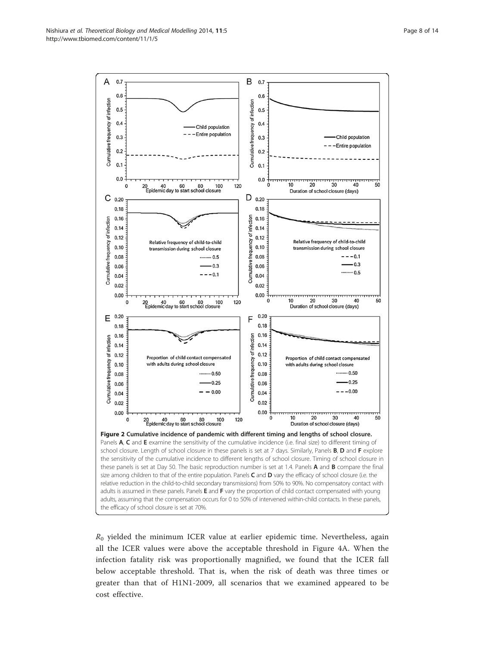<span id="page-7-0"></span>

 $R_0$  yielded the minimum ICER value at earlier epidemic time. Nevertheless, again all the ICER values were above the acceptable threshold in Figure [4](#page-9-0)A. When the infection fatality risk was proportionally magnified, we found that the ICER fall below acceptable threshold. That is, when the risk of death was three times or greater than that of H1N1-2009, all scenarios that we examined appeared to be cost effective.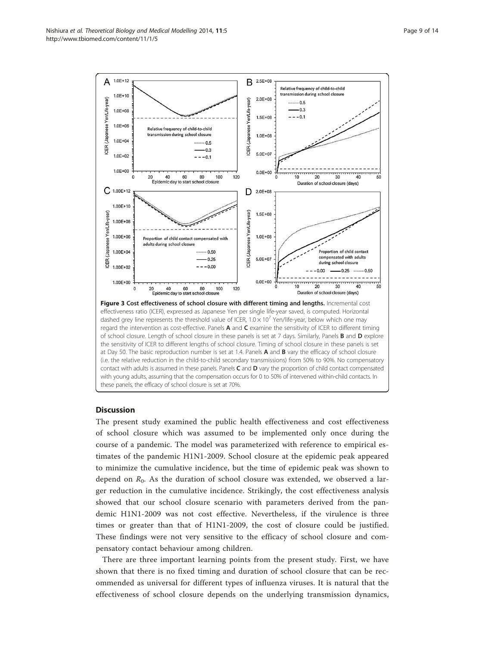<span id="page-8-0"></span>

# **Discussion**

The present study examined the public health effectiveness and cost effectiveness of school closure which was assumed to be implemented only once during the course of a pandemic. The model was parameterized with reference to empirical estimates of the pandemic H1N1-2009. School closure at the epidemic peak appeared to minimize the cumulative incidence, but the time of epidemic peak was shown to depend on  $R_0$ . As the duration of school closure was extended, we observed a larger reduction in the cumulative incidence. Strikingly, the cost effectiveness analysis showed that our school closure scenario with parameters derived from the pandemic H1N1-2009 was not cost effective. Nevertheless, if the virulence is three times or greater than that of H1N1-2009, the cost of closure could be justified. These findings were not very sensitive to the efficacy of school closure and compensatory contact behaviour among children.

There are three important learning points from the present study. First, we have shown that there is no fixed timing and duration of school closure that can be recommended as universal for different types of influenza viruses. It is natural that the effectiveness of school closure depends on the underlying transmission dynamics,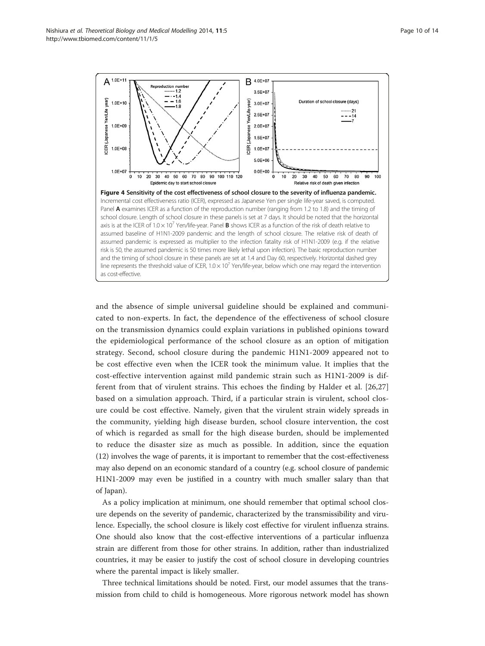<span id="page-9-0"></span>Nishiura et al. Theoretical Biology and Medical Modelling 2014, 11:5 http://www.tbiomed.com/content/11/1/5



and the absence of simple universal guideline should be explained and communicated to non-experts. In fact, the dependence of the effectiveness of school closure on the transmission dynamics could explain variations in published opinions toward the epidemiological performance of the school closure as an option of mitigation strategy. Second, school closure during the pandemic H1N1-2009 appeared not to be cost effective even when the ICER took the minimum value. It implies that the cost-effective intervention against mild pandemic strain such as H1N1-2009 is different from that of virulent strains. This echoes the finding by Halder et al. [[26,27](#page-13-0)] based on a simulation approach. Third, if a particular strain is virulent, school closure could be cost effective. Namely, given that the virulent strain widely spreads in the community, yielding high disease burden, school closure intervention, the cost of which is regarded as small for the high disease burden, should be implemented to reduce the disaster size as much as possible. In addition, since the equation ([12\)](#page-4-0) involves the wage of parents, it is important to remember that the cost-effectiveness may also depend on an economic standard of a country (e.g. school closure of pandemic H1N1-2009 may even be justified in a country with much smaller salary than that of Japan).

As a policy implication at minimum, one should remember that optimal school closure depends on the severity of pandemic, characterized by the transmissibility and virulence. Especially, the school closure is likely cost effective for virulent influenza strains. One should also know that the cost-effective interventions of a particular influenza strain are different from those for other strains. In addition, rather than industrialized countries, it may be easier to justify the cost of school closure in developing countries where the parental impact is likely smaller.

Three technical limitations should be noted. First, our model assumes that the transmission from child to child is homogeneous. More rigorous network model has shown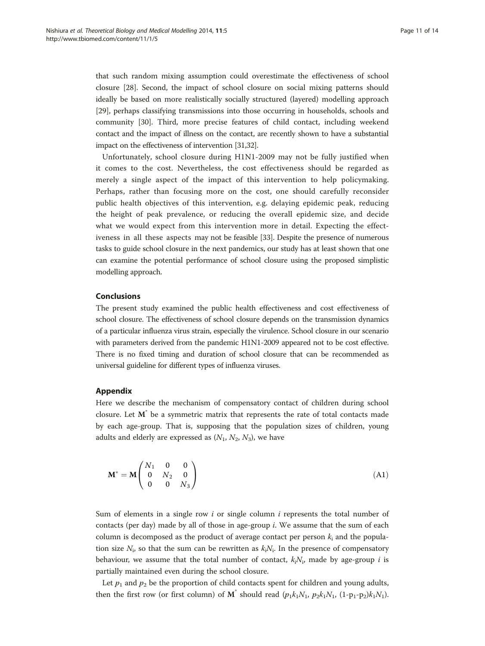<span id="page-10-0"></span>that such random mixing assumption could overestimate the effectiveness of school closure [[28](#page-13-0)]. Second, the impact of school closure on social mixing patterns should ideally be based on more realistically socially structured (layered) modelling approach [[29\]](#page-13-0), perhaps classifying transmissions into those occurring in households, schools and community [[30\]](#page-13-0). Third, more precise features of child contact, including weekend contact and the impact of illness on the contact, are recently shown to have a substantial impact on the effectiveness of intervention [\[31,32](#page-13-0)].

Unfortunately, school closure during H1N1-2009 may not be fully justified when it comes to the cost. Nevertheless, the cost effectiveness should be regarded as merely a single aspect of the impact of this intervention to help policymaking. Perhaps, rather than focusing more on the cost, one should carefully reconsider public health objectives of this intervention, e.g. delaying epidemic peak, reducing the height of peak prevalence, or reducing the overall epidemic size, and decide what we would expect from this intervention more in detail. Expecting the effectiveness in all these aspects may not be feasible [[33](#page-13-0)]. Despite the presence of numerous tasks to guide school closure in the next pandemics, our study has at least shown that one can examine the potential performance of school closure using the proposed simplistic modelling approach.

# Conclusions

The present study examined the public health effectiveness and cost effectiveness of school closure. The effectiveness of school closure depends on the transmission dynamics of a particular influenza virus strain, especially the virulence. School closure in our scenario with parameters derived from the pandemic H1N1-2009 appeared not to be cost effective. There is no fixed timing and duration of school closure that can be recommended as universal guideline for different types of influenza viruses.

# Appendix

Here we describe the mechanism of compensatory contact of children during school closure. Let  $M^{\dagger}$  be a symmetric matrix that represents the rate of total contacts made by each age-group. That is, supposing that the population sizes of children, young adults and elderly are expressed as  $(N_1, N_2, N_3)$ , we have

$$
\mathbf{M}^* = \mathbf{M} \begin{pmatrix} N_1 & 0 & 0 \\ 0 & N_2 & 0 \\ 0 & 0 & N_3 \end{pmatrix}
$$
 (A1)

Sum of elements in a single row i or single column i represents the total number of contacts (per day) made by all of those in age-group  $i$ . We assume that the sum of each column is decomposed as the product of average contact per person  $k_i$  and the population size  $N_i$ , so that the sum can be rewritten as  $k_iN_i$ . In the presence of compensatory behaviour, we assume that the total number of contact,  $k_iN_i$ , made by age-group i is partially maintained even during the school closure.

Let  $p_1$  and  $p_2$  be the proportion of child contacts spent for children and young adults, then the first row (or first column) of  $M^*$  should read  $(p_1k_1N_1, p_2k_1N_1, (1-p_1-p_2)k_1N_1)$ .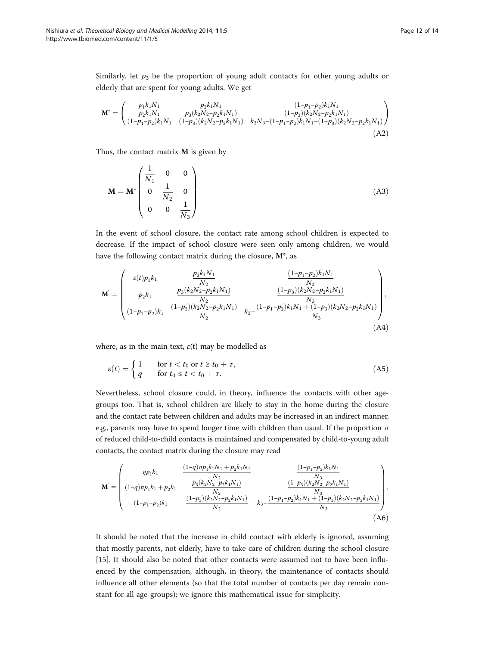Similarly, let  $p_3$  be the proportion of young adult contacts for other young adults or elderly that are spent for young adults. We get

$$
\mathbf{M}^* = \begin{pmatrix} p_1 k_1 N_1 & p_2 k_1 N_1 & (1 - p_1 - p_2) k_1 N_1 \\ p_2 k_1 N_1 & p_3 (k_2 N_2 - p_2 k_1 N_1) & (1 - p_3) (k_2 N_2 - p_2 k_1 N_1) \\ (1 - p_1 - p_2) k_1 N_1 & (1 - p_3) (k_2 N_2 - p_2 k_1 N_1) & k_3 N_3 - (1 - p_1 - p_2) k_1 N_1 - (1 - p_3) (k_2 N_2 - p_2 k_1 N_1) \end{pmatrix} \tag{A2}
$$

Thus, the contact matrix  $M$  is given by

$$
\mathbf{M} = \mathbf{M}^* \begin{pmatrix} \frac{1}{N_1} & 0 & 0 \\ 0 & \frac{1}{N_2} & 0 \\ 0 & 0 & \frac{1}{N_3} \end{pmatrix}
$$
 (A3)

In the event of school closure, the contact rate among school children is expected to decrease. If the impact of school closure were seen only among children, we would have the following contact matrix during the closure,  $M^*$ , as

$$
\mathbf{M}' = \begin{pmatrix} \varepsilon(t)p_1k_1 & \frac{p_2k_1N_1}{N_2} & \frac{(1-p_1-p_2)k_1N_1}{N_3} \\ p_2k_1 & \frac{p_3(k_2N_2-p_2k_1N_1)}{N_2} & \frac{(1-p_3)(k_2N_2-p_2k_1N_1)}{N_3} \\ (1-p_1-p_2)k_1 & \frac{(1-p_3)(k_2N_2-p_2k_1N_1)}{N_2} & k_3 - \frac{(1-p_1-p_2)k_1N_1 + (1-p_3)(k_2N_2-p_2k_1N_1)}{N_3} \end{pmatrix},
$$
\n(A4)

where, as in the main text,  $\varepsilon(t)$  may be modelled as

$$
\varepsilon(t) = \begin{cases} 1 & \text{for } t < t_0 \text{ or } t \ge t_0 + \tau, \\ q & \text{for } t_0 \le t < t_0 + \tau. \end{cases} \tag{A5}
$$

Nevertheless, school closure could, in theory, influence the contacts with other agegroups too. That is, school children are likely to stay in the home during the closure and the contact rate between children and adults may be increased in an indirect manner, e.g., parents may have to spend longer time with children than usual. If the proportion  $\pi$ of reduced child-to-child contacts is maintained and compensated by child-to-young adult contacts, the contact matrix during the closure may read

$$
\mathbf{M}' = \begin{pmatrix}\nqp_1k_1 & \frac{(1-q)\pi p_1k_1N_1 + p_2k_1N_1}{N_2} & \frac{(1-p_1-p_2)k_1N_1}{N_3} \\
(1-q)\pi p_1k_1 + p_2k_1 & \frac{p_3(k_2N_2 - p_2k_1N_1)}{N_2} & \frac{(1-p_3)(k_2N_2 - p_2k_1N_1)}{N_3} \\
(1-p_1-p_2)k_1 & \frac{(1-p_3)(k_2N_2 - p_2k_1N_1)}{N_2} & k_3 - \frac{(1-p_1-p_2)k_1N_1 + (1-p_3)(k_2N_2 - p_2k_1N_1)}{N_3}\n\end{pmatrix},
$$
\n(A6)

It should be noted that the increase in child contact with elderly is ignored, assuming that mostly parents, not elderly, have to take care of children during the school closure [[15\]](#page-12-0). It should also be noted that other contacts were assumed not to have been influenced by the compensation, although, in theory, the maintenance of contacts should influence all other elements (so that the total number of contacts per day remain constant for all age-groups); we ignore this mathematical issue for simplicity.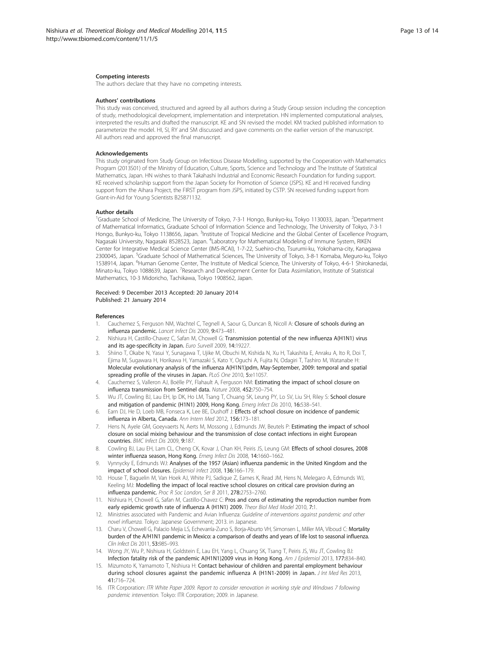#### <span id="page-12-0"></span>Competing interests

The authors declare that they have no competing interests.

#### Authors' contributions

This study was conceived, structured and agreed by all authors during a Study Group session including the conception of study, methodological development, implementation and interpretation. HN implemented computational analyses, interpreted the results and drafted the manuscript. KE and SN revised the model. KM tracked published information to parameterize the model. HI, SI, RY and SM discussed and gave comments on the earlier version of the manuscript. All authors read and approved the final manuscript.

#### Acknowledgements

This study originated from Study Group on Infectious Disease Modelling, supported by the Cooperation with Mathematics Program (2013S01) of the Ministry of Education, Culture, Sports, Science and Technology and The Institute of Statistical Mathematics, Japan. HN wishes to thank Takahashi Industrial and Economic Research Foundation for funding support. KE received scholarship support from the Japan Society for Promotion of Science (JSPS). KE and HI received funding support from the Aihara Project, the FIRST program from JSPS, initiated by CSTP. SN received funding support from Grant-in-Aid for Young Scientists B25871132.

#### Author details

<sup>1</sup>Graduate School of Medicine, The University of Tokyo, 7-3-1 Hongo, Bunkyo-ku, Tokyo 1130033, Japan. <sup>2</sup>Department of Mathematical Informatics, Graduate School of Information Science and Technology, The University of Tokyo, 7-3-1 Hongo, Bunkyo-ku, Tokyo 1138656, Japan. <sup>3</sup>Institute of Tropical Medicine and the Global Center of Excellence Program, Nagasaki University, Nagasaki 8528523, Japan. <sup>4</sup>Laboratory for Mathematical Modeling of Immune System, RIKEN Center for Integrative Medical Science Center (IMS-RCAI), 1-7-22, Suehiro-cho, Tsurumi-ku, Yokohama-city, Kanagawa 2300045, Japan. <sup>5</sup>Graduate School of Mathematical Sciences, The University of Tokyo, 3-8-1 Komaba, Meguro-ku, Tokyo 1538914, Japan. <sup>6</sup>Human Genome Center, The Institute of Medical Science, The University of Tokyo, 4-6-1 Shirokanedai, Minato-ku, Tokyo 1088639, Japan. <sup>7</sup>Research and Development Center for Data Assimilation, Institute of Statistical Mathematics, 10-3 Midoricho, Tachikawa, Tokyo 1908562, Japan.

#### Received: 9 December 2013 Accepted: 20 January 2014 Published: 21 January 2014

#### References

- 1. Cauchemez S, Ferguson NM, Wachtel C, Tegnell A, Saour G, Duncan B, Nicoll A: Closure of schools during an influenza pandemic. Lancet Infect Dis 2009, 9:473–481.
- 2. Nishiura H, Castillo-Chavez C, Safan M, Chowell G: Transmission potential of the new influenza A(H1N1) virus and its age-specificity in Japan. Euro Surveill 2009, 14:19227.
- 3. Shiino T, Okabe N, Yasui Y, Sunagawa T, Ujike M, Obuchi M, Kishida N, Xu H, Takashita E, Anraku A, Ito R, Doi T, Ejima M, Sugawara H, Horikawa H, Yamazaki S, Kato Y, Oguchi A, Fujita N, Odagiri T, Tashiro M, Watanabe H: Molecular evolutionary analysis of the influenza A(H1N1)pdm, May-September, 2009: temporal and spatial spreading profile of the viruses in Japan. PLoS One 2010, 5:e11057.
- 4. Cauchemez S, Valleron AJ, Boëlle PY, Flahault A, Ferguson NM: Estimating the impact of school closure on influenza transmission from Sentinel data. Nature 2008, 452:750–754.
- 5. Wu JT, Cowling BJ, Lau EH, Ip DK, Ho LM, Tsang T, Chuang SK, Leung PY, Lo SV, Liu SH, Riley S: School closure and mitigation of pandemic (H1N1) 2009, Hong Kong. Emerg Infect Dis 2010, 16:538-541.
- 6. Earn DJ, He D, Loeb MB, Fonseca K, Lee BE, Dushoff J: Effects of school closure on incidence of pandemic influenza in Alberta, Canada. Ann Intern Med 2012, 156:173–181.
- Hens N, Ayele GM, Goeyvaerts N, Aerts M, Mossong J, Edmunds JW, Beutels P: Estimating the impact of school closure on social mixing behaviour and the transmission of close contact infections in eight European countries. BMC Infect Dis 2009, 9:187.
- 8. Cowling BJ, Lau EH, Lam CL, Cheng CK, Kovar J, Chan KH, Peiris JS, Leung GM: Effects of school closures, 2008 winter influenza season, Hong Kong. Emerg Infect Dis 2008, 14:1660–1662.
- 9. Vynnycky E, Edmunds WJ: Analyses of the 1957 (Asian) influenza pandemic in the United Kingdom and the impact of school closures. Epidemiol Infect 2008, 136:166–179.
- 10. House T, Baguelin M, Van Hoek AJ, White PJ, Sadique Z, Eames K, Read JM, Hens N, Melegaro A, Edmunds WJ, Keeling MJ: Modelling the impact of local reactive school closures on critical care provision during an influenza pandemic. Proc R Soc London, Ser B 2011, 278:2753–2760.
- 11. Nishiura H, Chowell G, Safan M, Castillo-Chavez C: Pros and cons of estimating the reproduction number from early epidemic growth rate of influenza A (H1N1) 2009. Theor Biol Med Model 2010, 7:1
- 12. Ministries associated with Pandemic and Avian Influenza: Guideline of interventions against pandemic and other novel influenza. Tokyo: Japanese Government; 2013. in Japanese.
- 13. Charu V, Chowell G, Palacio Mejia LS, Echevarría-Zuno S, Borja-Aburto VH, Simonsen L, Miller MA, Viboud C: Mortality burden of the A/H1N1 pandemic in Mexico: a comparison of deaths and years of life lost to seasonal influenza. Clin Infect Dis 2011, 53:985–993.
- 14. Wong JY, Wu P, Nishiura H, Goldstein E, Lau EH, Yang L, Chuang SK, Tsang T, Peiris JS, Wu JT, Cowling BJ: Infection fatality risk of the pandemic A(H1N1)2009 virus in Hong Kong. Am J Epidemiol 2013, 177:834–840.
- 15. Mizumoto K, Yamamoto T, Nishiura H: Contact behaviour of children and parental employment behaviour during school closures against the pandemic influenza A (H1N1-2009) in Japan. J Int Med Res 2013, 41:716–724.
- 16. ITR Corporation: ITR White Paper 2009. Report to consider renovation in working style and Windows 7 following pandemic intervention. Tokyo: ITR Corporation; 2009. in Japanese.